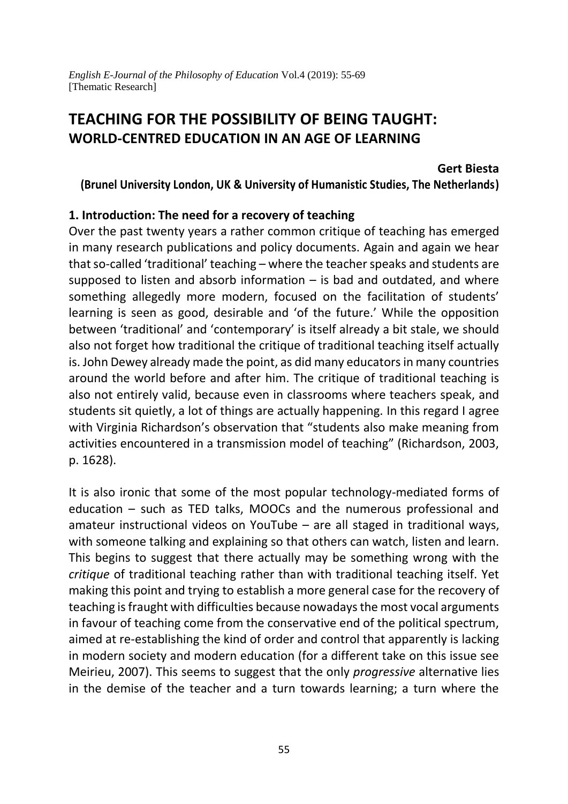# **TEACHING FOR THE POSSIBILITY OF BEING TAUGHT: WORLD-CENTRED EDUCATION IN AN AGE OF LEARNING**

#### **Gert Biesta**

**(Brunel University London, UK & University of Humanistic Studies, The Netherlands)**

#### **1. Introduction: The need for a recovery of teaching**

Over the past twenty years a rather common critique of teaching has emerged in many research publications and policy documents. Again and again we hear that so-called 'traditional' teaching – where the teacher speaks and students are supposed to listen and absorb information  $-$  is bad and outdated, and where something allegedly more modern, focused on the facilitation of students' learning is seen as good, desirable and 'of the future.' While the opposition between 'traditional' and 'contemporary' is itself already a bit stale, we should also not forget how traditional the critique of traditional teaching itself actually is. John Dewey already made the point, as did many educators in many countries around the world before and after him. The critique of traditional teaching is also not entirely valid, because even in classrooms where teachers speak, and students sit quietly, a lot of things are actually happening. In this regard I agree with Virginia Richardson's observation that "students also make meaning from activities encountered in a transmission model of teaching" (Richardson, 2003, p. 1628).

It is also ironic that some of the most popular technology-mediated forms of education – such as TED talks, MOOCs and the numerous professional and amateur instructional videos on YouTube – are all staged in traditional ways, with someone talking and explaining so that others can watch, listen and learn. This begins to suggest that there actually may be something wrong with the *critique* of traditional teaching rather than with traditional teaching itself. Yet making this point and trying to establish a more general case for the recovery of teaching is fraught with difficulties because nowadays the most vocal arguments in favour of teaching come from the conservative end of the political spectrum, aimed at re-establishing the kind of order and control that apparently is lacking in modern society and modern education (for a different take on this issue see Meirieu, 2007). This seems to suggest that the only *progressive* alternative lies in the demise of the teacher and a turn towards learning; a turn where the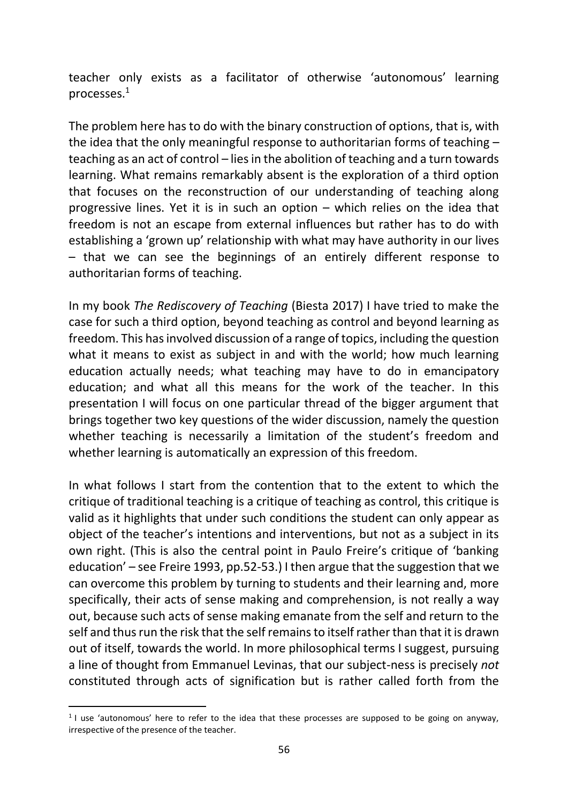teacher only exists as a facilitator of otherwise 'autonomous' learning processes.<sup>1</sup>

The problem here has to do with the binary construction of options, that is, with the idea that the only meaningful response to authoritarian forms of teaching – teaching as an act of control – lies in the abolition of teaching and a turn towards learning. What remains remarkably absent is the exploration of a third option that focuses on the reconstruction of our understanding of teaching along progressive lines. Yet it is in such an option – which relies on the idea that freedom is not an escape from external influences but rather has to do with establishing a 'grown up' relationship with what may have authority in our lives – that we can see the beginnings of an entirely different response to authoritarian forms of teaching.

In my book *The Rediscovery of Teaching* (Biesta 2017) I have tried to make the case for such a third option, beyond teaching as control and beyond learning as freedom. This has involved discussion of a range of topics, including the question what it means to exist as subject in and with the world; how much learning education actually needs; what teaching may have to do in emancipatory education; and what all this means for the work of the teacher. In this presentation I will focus on one particular thread of the bigger argument that brings together two key questions of the wider discussion, namely the question whether teaching is necessarily a limitation of the student's freedom and whether learning is automatically an expression of this freedom.

In what follows I start from the contention that to the extent to which the critique of traditional teaching is a critique of teaching as control, this critique is valid as it highlights that under such conditions the student can only appear as object of the teacher's intentions and interventions, but not as a subject in its own right. (This is also the central point in Paulo Freire's critique of 'banking education' – see Freire 1993, pp.52-53.) I then argue that the suggestion that we can overcome this problem by turning to students and their learning and, more specifically, their acts of sense making and comprehension, is not really a way out, because such acts of sense making emanate from the self and return to the self and thus run the risk that the self remains to itself rather than that it is drawn out of itself, towards the world. In more philosophical terms I suggest, pursuing a line of thought from Emmanuel Levinas, that our subject-ness is precisely *not* constituted through acts of signification but is rather called forth from the

<sup>&</sup>lt;sup>1</sup> I use 'autonomous' here to refer to the idea that these processes are supposed to be going on anyway, irrespective of the presence of the teacher.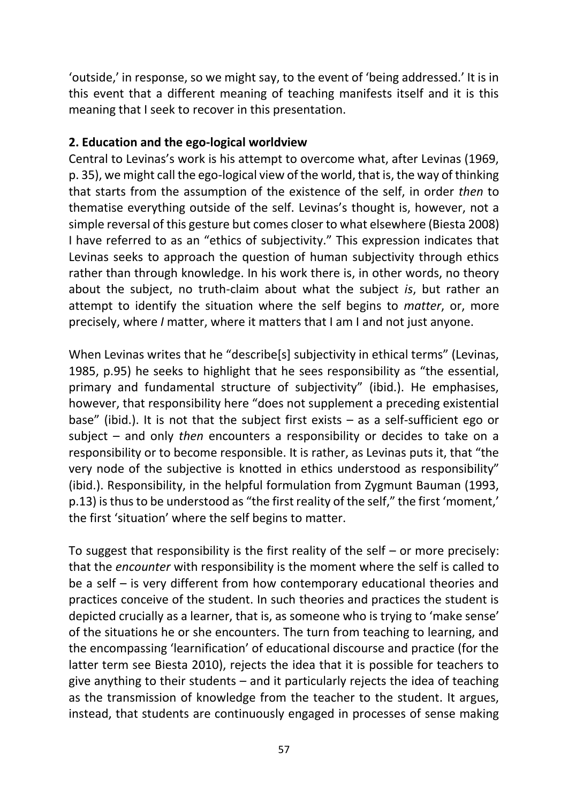'outside,' in response, so we might say, to the event of 'being addressed.' It is in this event that a different meaning of teaching manifests itself and it is this meaning that I seek to recover in this presentation.

## **2. Education and the ego-logical worldview**

Central to Levinas's work is his attempt to overcome what, after Levinas (1969, p. 35), we might call the ego-logical view of the world, that is, the way of thinking that starts from the assumption of the existence of the self, in order *then* to thematise everything outside of the self. Levinas's thought is, however, not a simple reversal of this gesture but comes closer to what elsewhere (Biesta 2008) I have referred to as an "ethics of subjectivity." This expression indicates that Levinas seeks to approach the question of human subjectivity through ethics rather than through knowledge. In his work there is, in other words, no theory about the subject, no truth-claim about what the subject *is*, but rather an attempt to identify the situation where the self begins to *matter*, or, more precisely, where *I* matter, where it matters that I am I and not just anyone.

When Levinas writes that he "describe[s] subjectivity in ethical terms" (Levinas, 1985, p.95) he seeks to highlight that he sees responsibility as "the essential, primary and fundamental structure of subjectivity" (ibid.). He emphasises, however, that responsibility here "does not supplement a preceding existential base" (ibid.). It is not that the subject first exists – as a self-sufficient ego or subject – and only *then* encounters a responsibility or decides to take on a responsibility or to become responsible. It is rather, as Levinas puts it, that "the very node of the subjective is knotted in ethics understood as responsibility" (ibid.). Responsibility, in the helpful formulation from Zygmunt Bauman (1993, p.13) is thus to be understood as "the first reality of the self," the first 'moment,' the first 'situation' where the self begins to matter.

To suggest that responsibility is the first reality of the self – or more precisely: that the *encounter* with responsibility is the moment where the self is called to be a self – is very different from how contemporary educational theories and practices conceive of the student. In such theories and practices the student is depicted crucially as a learner, that is, as someone who is trying to 'make sense' of the situations he or she encounters. The turn from teaching to learning, and the encompassing 'learnification' of educational discourse and practice (for the latter term see Biesta 2010), rejects the idea that it is possible for teachers to give anything to their students – and it particularly rejects the idea of teaching as the transmission of knowledge from the teacher to the student. It argues, instead, that students are continuously engaged in processes of sense making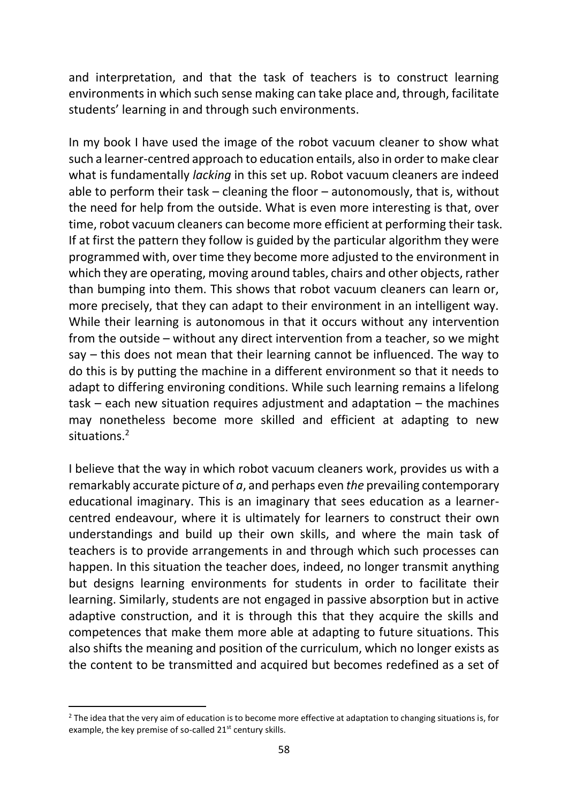and interpretation, and that the task of teachers is to construct learning environments in which such sense making can take place and, through, facilitate students' learning in and through such environments.

In my book I have used the image of the robot vacuum cleaner to show what such a learner-centred approach to education entails, also in order to make clear what is fundamentally *lacking* in this set up. Robot vacuum cleaners are indeed able to perform their task – cleaning the floor – autonomously, that is, without the need for help from the outside. What is even more interesting is that, over time, robot vacuum cleaners can become more efficient at performing their task. If at first the pattern they follow is guided by the particular algorithm they were programmed with, over time they become more adjusted to the environment in which they are operating, moving around tables, chairs and other objects, rather than bumping into them. This shows that robot vacuum cleaners can learn or, more precisely, that they can adapt to their environment in an intelligent way. While their learning is autonomous in that it occurs without any intervention from the outside – without any direct intervention from a teacher, so we might say – this does not mean that their learning cannot be influenced. The way to do this is by putting the machine in a different environment so that it needs to adapt to differing environing conditions. While such learning remains a lifelong task – each new situation requires adjustment and adaptation – the machines may nonetheless become more skilled and efficient at adapting to new situations.<sup>2</sup>

I believe that the way in which robot vacuum cleaners work, provides us with a remarkably accurate picture of *a*, and perhaps even *the* prevailing contemporary educational imaginary. This is an imaginary that sees education as a learnercentred endeavour, where it is ultimately for learners to construct their own understandings and build up their own skills, and where the main task of teachers is to provide arrangements in and through which such processes can happen. In this situation the teacher does, indeed, no longer transmit anything but designs learning environments for students in order to facilitate their learning. Similarly, students are not engaged in passive absorption but in active adaptive construction, and it is through this that they acquire the skills and competences that make them more able at adapting to future situations. This also shifts the meaning and position of the curriculum, which no longer exists as the content to be transmitted and acquired but becomes redefined as a set of

 $2$  The idea that the very aim of education is to become more effective at adaptation to changing situations is, for example, the key premise of so-called 21<sup>st</sup> century skills.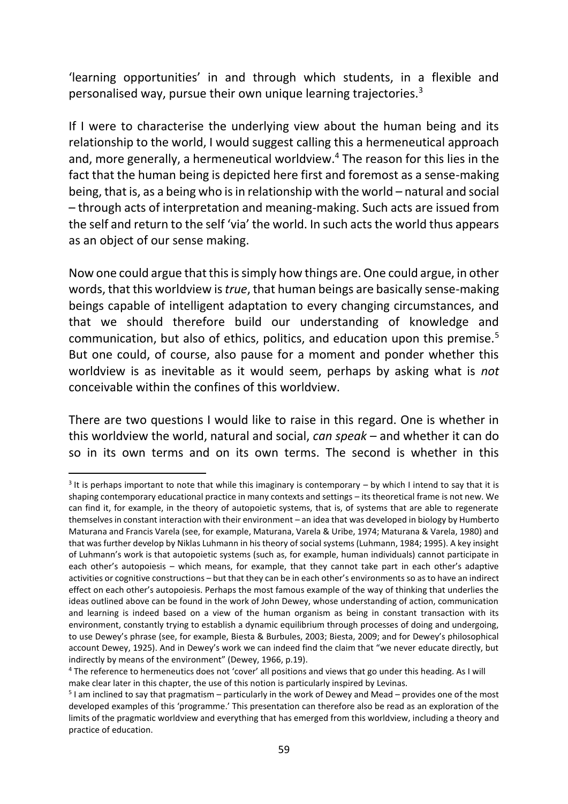'learning opportunities' in and through which students, in a flexible and personalised way, pursue their own unique learning trajectories.<sup>3</sup>

If I were to characterise the underlying view about the human being and its relationship to the world, I would suggest calling this a hermeneutical approach and, more generally, a hermeneutical worldview.<sup>4</sup> The reason for this lies in the fact that the human being is depicted here first and foremost as a sense-making being, that is, as a being who is in relationship with the world – natural and social – through acts of interpretation and meaning-making. Such acts are issued from the self and return to the self 'via' the world. In such acts the world thus appears as an object of our sense making.

Now one could argue that this is simply how things are. One could argue, in other words, that this worldview is *true*, that human beings are basically sense-making beings capable of intelligent adaptation to every changing circumstances, and that we should therefore build our understanding of knowledge and communication, but also of ethics, politics, and education upon this premise.<sup>5</sup> But one could, of course, also pause for a moment and ponder whether this worldview is as inevitable as it would seem, perhaps by asking what is *not* conceivable within the confines of this worldview.

There are two questions I would like to raise in this regard. One is whether in this worldview the world, natural and social, *can speak* – and whether it can do so in its own terms and on its own terms. The second is whether in this

 $3$  It is perhaps important to note that while this imaginary is contemporary – by which I intend to say that it is shaping contemporary educational practice in many contexts and settings – its theoretical frame is not new. We can find it, for example, in the theory of autopoietic systems, that is, of systems that are able to regenerate themselves in constant interaction with their environment – an idea that was developed in biology by Humberto Maturana and Francis Varela (see, for example, Maturana, Varela & Uribe, 1974; Maturana & Varela, 1980) and that was further develop by Niklas Luhmann in his theory of social systems (Luhmann, 1984; 1995). A key insight of Luhmann's work is that autopoietic systems (such as, for example, human individuals) cannot participate in each other's autopoiesis – which means, for example, that they cannot take part in each other's adaptive activities or cognitive constructions – but that they can be in each other's environments so as to have an indirect effect on each other's autopoiesis. Perhaps the most famous example of the way of thinking that underlies the ideas outlined above can be found in the work of John Dewey, whose understanding of action, communication and learning is indeed based on a view of the human organism as being in constant transaction with its environment, constantly trying to establish a dynamic equilibrium through processes of doing and undergoing, to use Dewey's phrase (see, for example, Biesta & Burbules, 2003; Biesta, 2009; and for Dewey's philosophical account Dewey, 1925). And in Dewey's work we can indeed find the claim that "we never educate directly, but indirectly by means of the environment" (Dewey, 1966, p.19).

<sup>4</sup> The reference to hermeneutics does not 'cover' all positions and views that go under this heading. As I will make clear later in this chapter, the use of this notion is particularly inspired by Levinas.

<sup>&</sup>lt;sup>5</sup> I am inclined to say that pragmatism – particularly in the work of Dewey and Mead – provides one of the most developed examples of this 'programme.' This presentation can therefore also be read as an exploration of the limits of the pragmatic worldview and everything that has emerged from this worldview, including a theory and practice of education.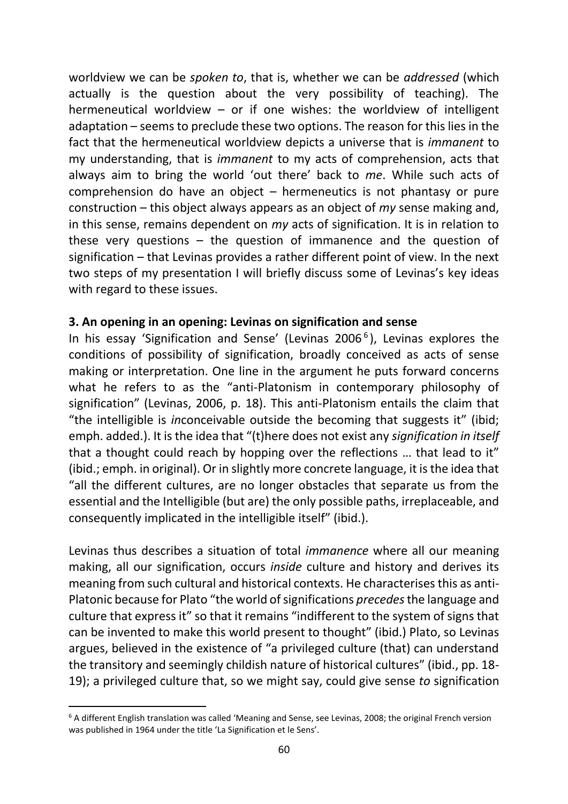worldview we can be *spoken to*, that is, whether we can be *addressed* (which actually is the question about the very possibility of teaching). The hermeneutical worldview  $-$  or if one wishes: the worldview of intelligent adaptation – seems to preclude these two options. The reason for this lies in the fact that the hermeneutical worldview depicts a universe that is *immanent* to my understanding, that is *immanent* to my acts of comprehension, acts that always aim to bring the world 'out there' back to *me*. While such acts of comprehension do have an object – hermeneutics is not phantasy or pure construction – this object always appears as an object of *my* sense making and, in this sense, remains dependent on *my* acts of signification. It is in relation to these very questions  $-$  the question of immanence and the question of signification – that Levinas provides a rather different point of view. In the next two steps of my presentation I will briefly discuss some of Levinas's key ideas with regard to these issues.

### **3. An opening in an opening: Levinas on signification and sense**

In his essay 'Signification and Sense' (Levinas 2006<sup>6</sup>), Levinas explores the conditions of possibility of signification, broadly conceived as acts of sense making or interpretation. One line in the argument he puts forward concerns what he refers to as the "anti-Platonism in contemporary philosophy of signification" (Levinas, 2006, p. 18). This anti-Platonism entails the claim that "the intelligible is *in*conceivable outside the becoming that suggests it" (ibid; emph. added.). It is the idea that "(t)here does not exist any *signification in itself* that a thought could reach by hopping over the reflections … that lead to it" (ibid.; emph. in original). Or in slightly more concrete language, it is the idea that "all the different cultures, are no longer obstacles that separate us from the essential and the Intelligible (but are) the only possible paths, irreplaceable, and consequently implicated in the intelligible itself" (ibid.).

Levinas thus describes a situation of total *immanence* where all our meaning making, all our signification, occurs *inside* culture and history and derives its meaning from such cultural and historical contexts. He characterises this as anti-Platonic because for Plato "the world of significations *precedes*the language and culture that express it" so that it remains "indifferent to the system of signs that can be invented to make this world present to thought" (ibid.) Plato, so Levinas argues, believed in the existence of "a privileged culture (that) can understand the transitory and seemingly childish nature of historical cultures" (ibid., pp. 18- 19); a privileged culture that, so we might say, could give sense *to* signification

 $6$  A different English translation was called 'Meaning and Sense, see Levinas, 2008; the original French version was published in 1964 under the title 'La Signification et le Sens'.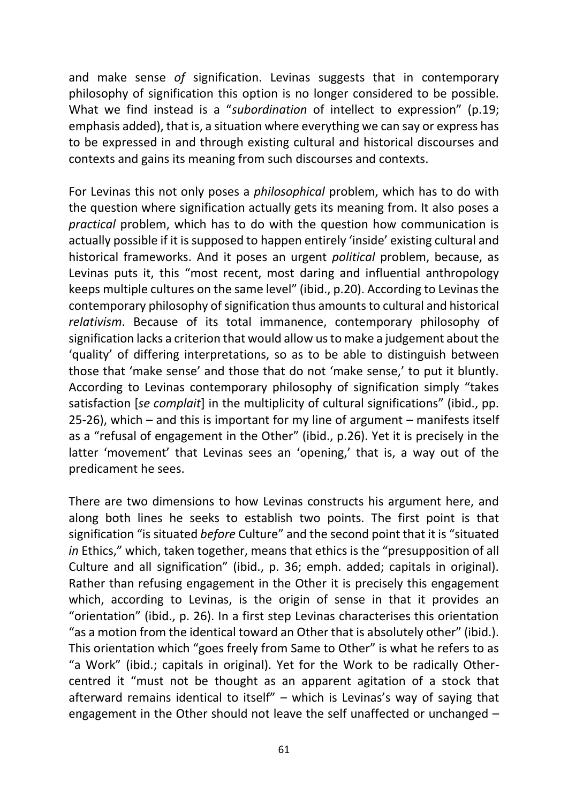and make sense *of* signification. Levinas suggests that in contemporary philosophy of signification this option is no longer considered to be possible. What we find instead is a "*subordination* of intellect to expression" (p.19; emphasis added), that is, a situation where everything we can say or express has to be expressed in and through existing cultural and historical discourses and contexts and gains its meaning from such discourses and contexts.

For Levinas this not only poses a *philosophical* problem, which has to do with the question where signification actually gets its meaning from. It also poses a *practical* problem, which has to do with the question how communication is actually possible if it is supposed to happen entirely 'inside' existing cultural and historical frameworks. And it poses an urgent *political* problem, because, as Levinas puts it, this "most recent, most daring and influential anthropology keeps multiple cultures on the same level" (ibid., p.20). According to Levinas the contemporary philosophy of signification thus amounts to cultural and historical *relativism*. Because of its total immanence, contemporary philosophy of signification lacks a criterion that would allow us to make a judgement about the 'quality' of differing interpretations, so as to be able to distinguish between those that 'make sense' and those that do not 'make sense,' to put it bluntly. According to Levinas contemporary philosophy of signification simply "takes satisfaction [*se complait*] in the multiplicity of cultural significations" (ibid., pp. 25-26), which – and this is important for my line of argument – manifests itself as a "refusal of engagement in the Other" (ibid., p.26). Yet it is precisely in the latter 'movement' that Levinas sees an 'opening,' that is, a way out of the predicament he sees.

There are two dimensions to how Levinas constructs his argument here, and along both lines he seeks to establish two points. The first point is that signification "is situated *before* Culture" and the second point that it is "situated *in* Ethics," which, taken together, means that ethics is the "presupposition of all Culture and all signification" (ibid., p. 36; emph. added; capitals in original). Rather than refusing engagement in the Other it is precisely this engagement which, according to Levinas, is the origin of sense in that it provides an "orientation" (ibid., p. 26). In a first step Levinas characterises this orientation "as a motion from the identical toward an Other that is absolutely other" (ibid.). This orientation which "goes freely from Same to Other" is what he refers to as "a Work" (ibid.; capitals in original). Yet for the Work to be radically Othercentred it "must not be thought as an apparent agitation of a stock that afterward remains identical to itself" – which is Levinas's way of saying that engagement in the Other should not leave the self unaffected or unchanged –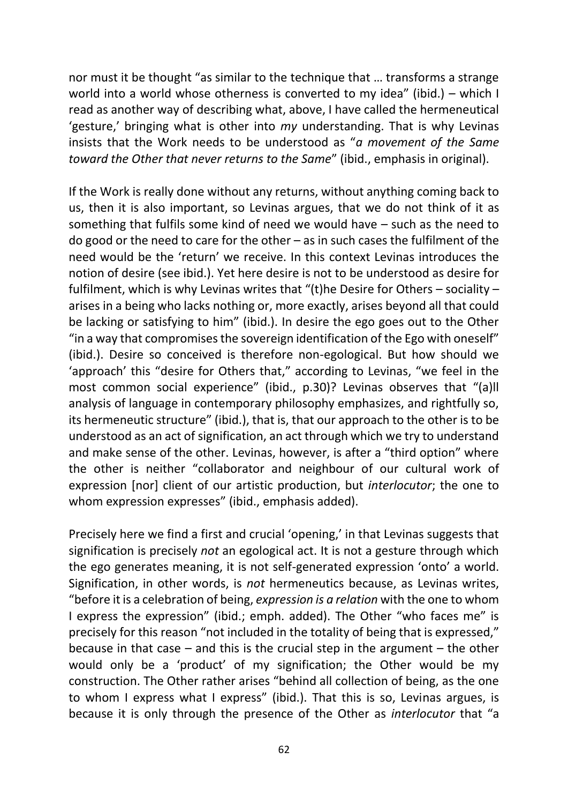nor must it be thought "as similar to the technique that … transforms a strange world into a world whose otherness is converted to my idea" (ibid.) – which I read as another way of describing what, above, I have called the hermeneutical 'gesture,' bringing what is other into *my* understanding. That is why Levinas insists that the Work needs to be understood as "*a movement of the Same toward the Other that never returns to the Same*" (ibid., emphasis in original).

If the Work is really done without any returns, without anything coming back to us, then it is also important, so Levinas argues, that we do not think of it as something that fulfils some kind of need we would have – such as the need to do good or the need to care for the other – as in such cases the fulfilment of the need would be the 'return' we receive. In this context Levinas introduces the notion of desire (see ibid.). Yet here desire is not to be understood as desire for fulfilment, which is why Levinas writes that "(t)he Desire for Others – sociality – arises in a being who lacks nothing or, more exactly, arises beyond all that could be lacking or satisfying to him" (ibid.). In desire the ego goes out to the Other "in a way that compromises the sovereign identification of the Ego with oneself" (ibid.). Desire so conceived is therefore non-egological. But how should we 'approach' this "desire for Others that," according to Levinas, "we feel in the most common social experience" (ibid., p.30)? Levinas observes that "(a)ll analysis of language in contemporary philosophy emphasizes, and rightfully so, its hermeneutic structure" (ibid.), that is, that our approach to the other is to be understood as an act of signification, an act through which we try to understand and make sense of the other. Levinas, however, is after a "third option" where the other is neither "collaborator and neighbour of our cultural work of expression [nor] client of our artistic production, but *interlocutor*; the one to whom expression expresses" (ibid., emphasis added).

Precisely here we find a first and crucial 'opening,' in that Levinas suggests that signification is precisely *not* an egological act. It is not a gesture through which the ego generates meaning, it is not self-generated expression 'onto' a world. Signification, in other words, is *not* hermeneutics because, as Levinas writes, "before it is a celebration of being, *expression is a relation* with the one to whom I express the expression" (ibid.; emph. added). The Other "who faces me" is precisely for this reason "not included in the totality of being that is expressed," because in that case  $-$  and this is the crucial step in the argument  $-$  the other would only be a 'product' of my signification; the Other would be my construction. The Other rather arises "behind all collection of being, as the one to whom I express what I express" (ibid.). That this is so, Levinas argues, is because it is only through the presence of the Other as *interlocutor* that "a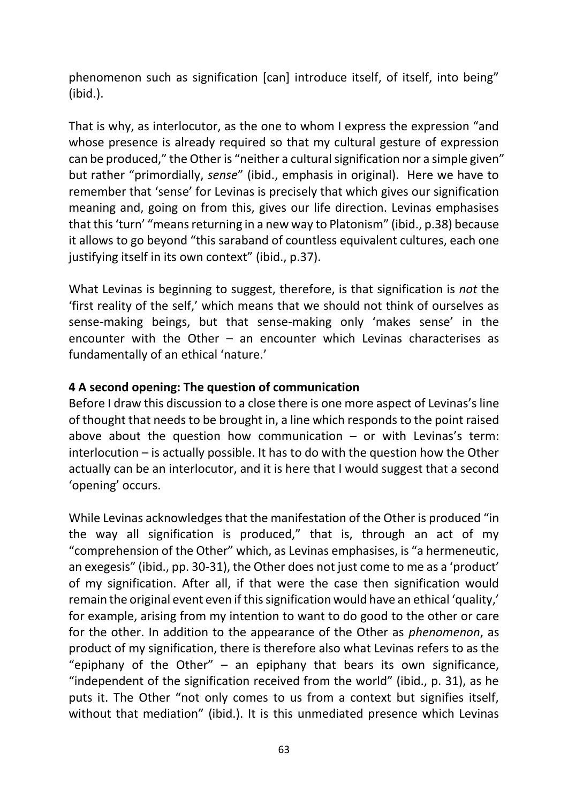phenomenon such as signification [can] introduce itself, of itself, into being" (ibid.).

That is why, as interlocutor, as the one to whom I express the expression "and whose presence is already required so that my cultural gesture of expression can be produced," the Other is "neither a cultural signification nor a simple given" but rather "primordially, *sense*" (ibid., emphasis in original). Here we have to remember that 'sense' for Levinas is precisely that which gives our signification meaning and, going on from this, gives our life direction. Levinas emphasises that this 'turn' "means returning in a new way to Platonism" (ibid., p.38) because it allows to go beyond "this saraband of countless equivalent cultures, each one justifying itself in its own context" (ibid., p.37).

What Levinas is beginning to suggest, therefore, is that signification is *not* the 'first reality of the self,' which means that we should not think of ourselves as sense-making beings, but that sense-making only 'makes sense' in the encounter with the Other – an encounter which Levinas characterises as fundamentally of an ethical 'nature.'

# **4 A second opening: The question of communication**

Before I draw this discussion to a close there is one more aspect of Levinas's line of thought that needs to be brought in, a line which responds to the point raised above about the question how communication  $-$  or with Levinas's term: interlocution – is actually possible. It has to do with the question how the Other actually can be an interlocutor, and it is here that I would suggest that a second 'opening' occurs.

While Levinas acknowledges that the manifestation of the Other is produced "in the way all signification is produced," that is, through an act of my "comprehension of the Other" which, as Levinas emphasises, is "a hermeneutic, an exegesis" (ibid., pp. 30-31), the Other does not just come to me as a 'product' of my signification. After all, if that were the case then signification would remain the original event even if this signification would have an ethical 'quality,' for example, arising from my intention to want to do good to the other or care for the other. In addition to the appearance of the Other as *phenomenon*, as product of my signification, there is therefore also what Levinas refers to as the "epiphany of the Other"  $-$  an epiphany that bears its own significance, "independent of the signification received from the world" (ibid., p. 31), as he puts it. The Other "not only comes to us from a context but signifies itself, without that mediation" (ibid.). It is this unmediated presence which Levinas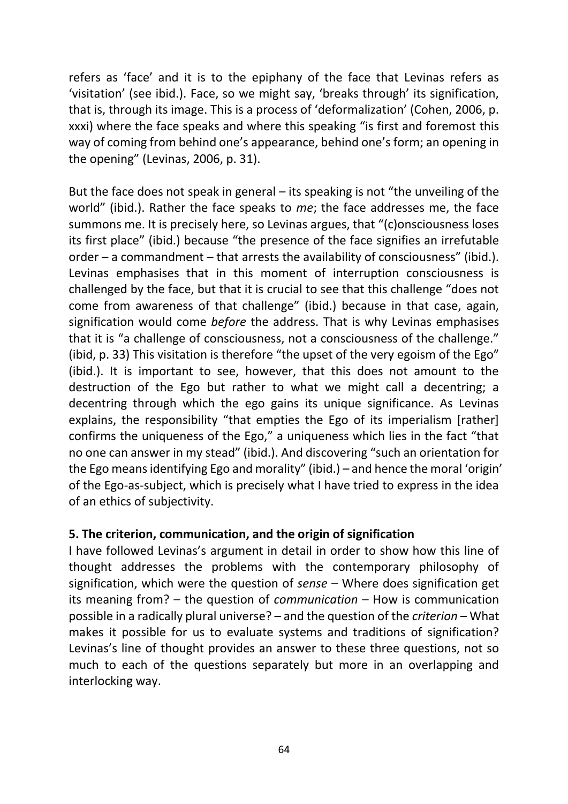refers as 'face' and it is to the epiphany of the face that Levinas refers as 'visitation' (see ibid.). Face, so we might say, 'breaks through' its signification, that is, through its image. This is a process of 'deformalization' (Cohen, 2006, p. xxxi) where the face speaks and where this speaking "is first and foremost this way of coming from behind one's appearance, behind one's form; an opening in the opening" (Levinas, 2006, p. 31).

But the face does not speak in general – its speaking is not "the unveiling of the world" (ibid.). Rather the face speaks to *me*; the face addresses me, the face summons me. It is precisely here, so Levinas argues, that "(c)onsciousness loses its first place" (ibid.) because "the presence of the face signifies an irrefutable order – a commandment – that arrests the availability of consciousness" (ibid.). Levinas emphasises that in this moment of interruption consciousness is challenged by the face, but that it is crucial to see that this challenge "does not come from awareness of that challenge" (ibid.) because in that case, again, signification would come *before* the address. That is why Levinas emphasises that it is "a challenge of consciousness, not a consciousness of the challenge." (ibid, p. 33) This visitation is therefore "the upset of the very egoism of the Ego" (ibid.). It is important to see, however, that this does not amount to the destruction of the Ego but rather to what we might call a decentring; a decentring through which the ego gains its unique significance. As Levinas explains, the responsibility "that empties the Ego of its imperialism [rather] confirms the uniqueness of the Ego," a uniqueness which lies in the fact "that no one can answer in my stead" (ibid.). And discovering "such an orientation for the Ego means identifying Ego and morality" (ibid.) – and hence the moral 'origin' of the Ego-as-subject, which is precisely what I have tried to express in the idea of an ethics of subjectivity.

### **5. The criterion, communication, and the origin of signification**

I have followed Levinas's argument in detail in order to show how this line of thought addresses the problems with the contemporary philosophy of signification, which were the question of *sense* – Where does signification get its meaning from? – the question of *communication* – How is communication possible in a radically plural universe? – and the question of the *criterion* – What makes it possible for us to evaluate systems and traditions of signification? Levinas's line of thought provides an answer to these three questions, not so much to each of the questions separately but more in an overlapping and interlocking way.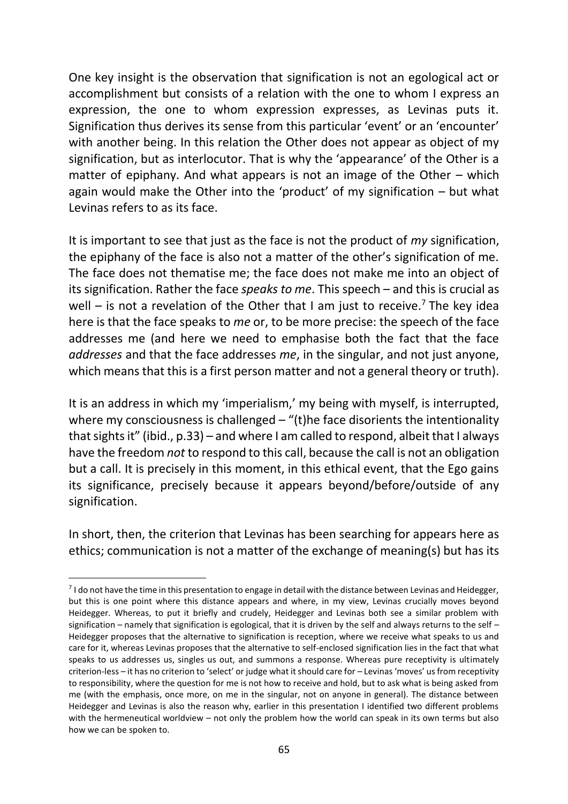One key insight is the observation that signification is not an egological act or accomplishment but consists of a relation with the one to whom I express an expression, the one to whom expression expresses, as Levinas puts it. Signification thus derives its sense from this particular 'event' or an 'encounter' with another being. In this relation the Other does not appear as object of my signification, but as interlocutor. That is why the 'appearance' of the Other is a matter of epiphany. And what appears is not an image of the Other – which again would make the Other into the 'product' of my signification – but what Levinas refers to as its face.

It is important to see that just as the face is not the product of *my* signification, the epiphany of the face is also not a matter of the other's signification of me. The face does not thematise me; the face does not make me into an object of its signification. Rather the face *speaks to me*. This speech – and this is crucial as well – is not a revelation of the Other that I am just to receive.<sup>7</sup> The key idea here is that the face speaks to *me* or, to be more precise: the speech of the face addresses me (and here we need to emphasise both the fact that the face *addresses* and that the face addresses *me*, in the singular, and not just anyone, which means that this is a first person matter and not a general theory or truth).

It is an address in which my 'imperialism,' my being with myself, is interrupted, where my consciousness is challenged  $-$  "(t)he face disorients the intentionality that sights it" (ibid., p.33) – and where I am called to respond, albeit that I always have the freedom *not* to respond to this call, because the call is not an obligation but a call. It is precisely in this moment, in this ethical event, that the Ego gains its significance, precisely because it appears beyond/before/outside of any signification.

In short, then, the criterion that Levinas has been searching for appears here as ethics; communication is not a matter of the exchange of meaning(s) but has its

.

<sup>&</sup>lt;sup>7</sup> I do not have the time in this presentation to engage in detail with the distance between Levinas and Heidegger, but this is one point where this distance appears and where, in my view, Levinas crucially moves beyond Heidegger. Whereas, to put it briefly and crudely, Heidegger and Levinas both see a similar problem with signification – namely that signification is egological, that it is driven by the self and always returns to the self – Heidegger proposes that the alternative to signification is reception, where we receive what speaks to us and care for it, whereas Levinas proposes that the alternative to self-enclosed signification lies in the fact that what speaks to us addresses us, singles us out, and summons a response. Whereas pure receptivity is ultimately criterion-less – it has no criterion to 'select' or judge what it should care for – Levinas 'moves' us from receptivity to responsibility, where the question for me is not how to receive and hold, but to ask what is being asked from me (with the emphasis, once more, on me in the singular, not on anyone in general). The distance between Heidegger and Levinas is also the reason why, earlier in this presentation I identified two different problems with the hermeneutical worldview – not only the problem how the world can speak in its own terms but also how we can be spoken to.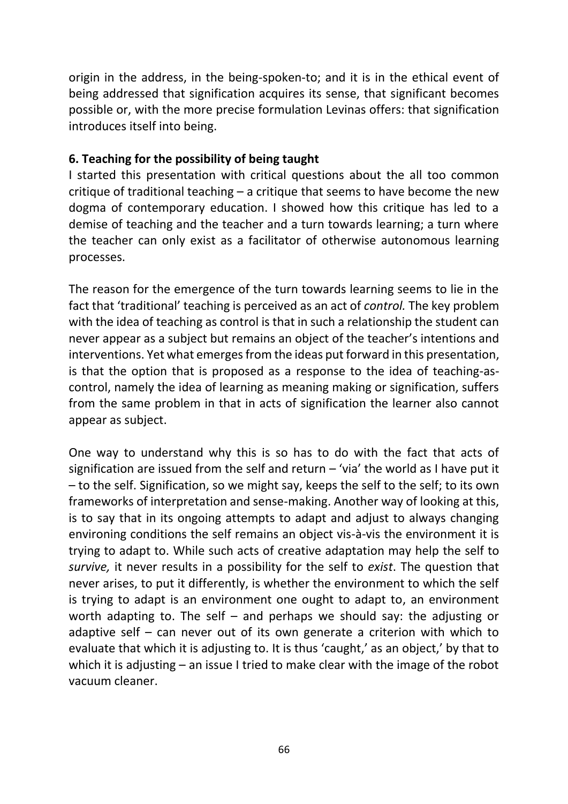origin in the address, in the being-spoken-to; and it is in the ethical event of being addressed that signification acquires its sense, that significant becomes possible or, with the more precise formulation Levinas offers: that signification introduces itself into being.

### **6. Teaching for the possibility of being taught**

I started this presentation with critical questions about the all too common critique of traditional teaching – a critique that seems to have become the new dogma of contemporary education. I showed how this critique has led to a demise of teaching and the teacher and a turn towards learning; a turn where the teacher can only exist as a facilitator of otherwise autonomous learning processes.

The reason for the emergence of the turn towards learning seems to lie in the fact that 'traditional' teaching is perceived as an act of *control.* The key problem with the idea of teaching as control is that in such a relationship the student can never appear as a subject but remains an object of the teacher's intentions and interventions. Yet what emerges from the ideas put forward in this presentation, is that the option that is proposed as a response to the idea of teaching-ascontrol, namely the idea of learning as meaning making or signification, suffers from the same problem in that in acts of signification the learner also cannot appear as subject.

One way to understand why this is so has to do with the fact that acts of signification are issued from the self and return  $-$  'via' the world as I have put it – to the self. Signification, so we might say, keeps the self to the self; to its own frameworks of interpretation and sense-making. Another way of looking at this, is to say that in its ongoing attempts to adapt and adjust to always changing environing conditions the self remains an object vis-à-vis the environment it is trying to adapt to. While such acts of creative adaptation may help the self to *survive,* it never results in a possibility for the self to *exist*. The question that never arises, to put it differently, is whether the environment to which the self is trying to adapt is an environment one ought to adapt to, an environment worth adapting to. The self – and perhaps we should say: the adjusting or adaptive self – can never out of its own generate a criterion with which to evaluate that which it is adjusting to. It is thus 'caught,' as an object,' by that to which it is adjusting – an issue I tried to make clear with the image of the robot vacuum cleaner.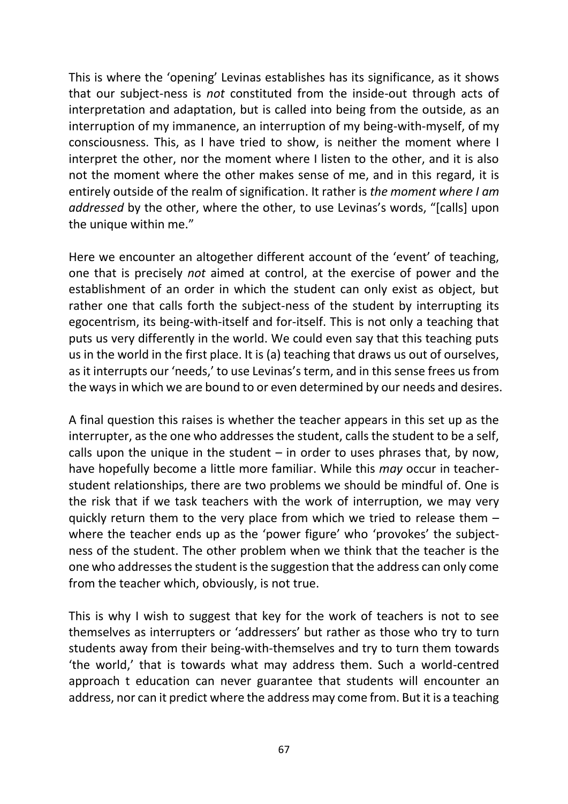This is where the 'opening' Levinas establishes has its significance, as it shows that our subject-ness is *not* constituted from the inside-out through acts of interpretation and adaptation, but is called into being from the outside, as an interruption of my immanence, an interruption of my being-with-myself, of my consciousness. This, as I have tried to show, is neither the moment where I interpret the other, nor the moment where I listen to the other, and it is also not the moment where the other makes sense of me, and in this regard, it is entirely outside of the realm of signification. It rather is *the moment where I am addressed* by the other, where the other, to use Levinas's words, "[calls] upon the unique within me."

Here we encounter an altogether different account of the 'event' of teaching, one that is precisely *not* aimed at control, at the exercise of power and the establishment of an order in which the student can only exist as object, but rather one that calls forth the subject-ness of the student by interrupting its egocentrism, its being-with-itself and for-itself. This is not only a teaching that puts us very differently in the world. We could even say that this teaching puts us in the world in the first place. It is (a) teaching that draws us out of ourselves, as it interrupts our 'needs,' to use Levinas's term, and in this sense frees us from the ways in which we are bound to or even determined by our needs and desires.

A final question this raises is whether the teacher appears in this set up as the interrupter, as the one who addresses the student, calls the student to be a self, calls upon the unique in the student  $-$  in order to uses phrases that, by now, have hopefully become a little more familiar. While this *may* occur in teacherstudent relationships, there are two problems we should be mindful of. One is the risk that if we task teachers with the work of interruption, we may very quickly return them to the very place from which we tried to release them – where the teacher ends up as the 'power figure' who 'provokes' the subjectness of the student. The other problem when we think that the teacher is the one who addresses the student is the suggestion that the address can only come from the teacher which, obviously, is not true.

This is why I wish to suggest that key for the work of teachers is not to see themselves as interrupters or 'addressers' but rather as those who try to turn students away from their being-with-themselves and try to turn them towards 'the world,' that is towards what may address them. Such a world-centred approach t education can never guarantee that students will encounter an address, nor can it predict where the address may come from. But it is a teaching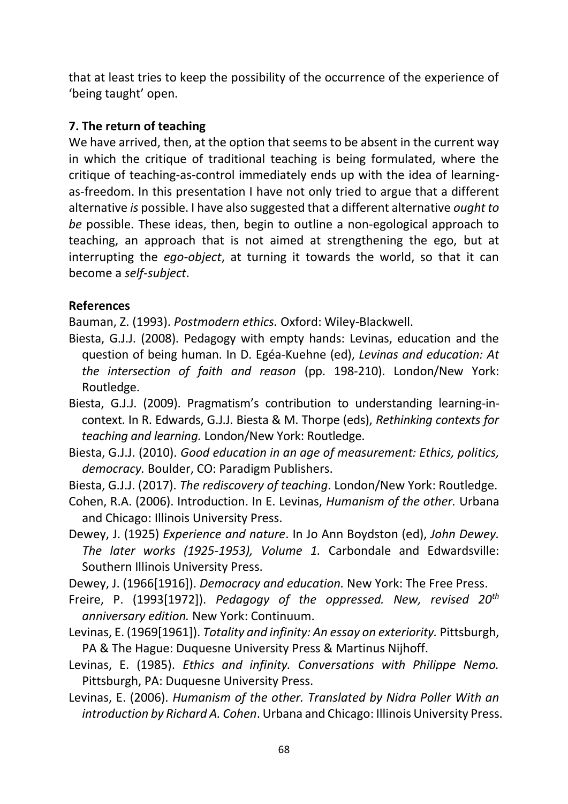that at least tries to keep the possibility of the occurrence of the experience of 'being taught' open.

# **7. The return of teaching**

We have arrived, then, at the option that seems to be absent in the current way in which the critique of traditional teaching is being formulated, where the critique of teaching-as-control immediately ends up with the idea of learningas-freedom. In this presentation I have not only tried to argue that a different alternative *is* possible. I have also suggested that a different alternative *ought to be* possible. These ideas, then, begin to outline a non-egological approach to teaching, an approach that is not aimed at strengthening the ego, but at interrupting the *ego-object*, at turning it towards the world, so that it can become a *self-subject*.

# **References**

Bauman, Z. (1993). *Postmodern ethics.* Oxford: Wiley-Blackwell.

- Biesta, G.J.J. (2008). Pedagogy with empty hands: Levinas, education and the question of being human. In D. Egéa-Kuehne (ed), *Levinas and education: At the intersection of faith and reason* (pp. 198-210). London/New York: Routledge.
- Biesta, G.J.J. (2009). Pragmatism's contribution to understanding learning-incontext. In R. Edwards, G.J.J. Biesta & M. Thorpe (eds), *Rethinking contexts for teaching and learning.* London/New York: Routledge.
- Biesta, G.J.J. (2010). *Good education in an age of measurement: Ethics, politics, democracy.* Boulder, CO: Paradigm Publishers.
- Biesta, G.J.J. (2017). *The rediscovery of teaching*. London/New York: Routledge.
- Cohen, R.A. (2006). Introduction. In E. Levinas, *Humanism of the other.* Urbana and Chicago: Illinois University Press.

Dewey, J. (1925) *Experience and nature*. In Jo Ann Boydston (ed), *John Dewey. The later works (1925-1953), Volume 1.* Carbondale and Edwardsville: Southern Illinois University Press.

Dewey, J. (1966[1916]). *Democracy and education.* New York: The Free Press.

- Freire, P. (1993[1972]). *Pedagogy of the oppressed. New, revised 20th anniversary edition.* New York: Continuum.
- Levinas, E. (1969[1961]). *Totality and infinity: An essay on exteriority.* Pittsburgh, PA & The Hague: Duquesne University Press & Martinus Nijhoff.
- Levinas, E. (1985). *Ethics and infinity. Conversations with Philippe Nemo.* Pittsburgh, PA: Duquesne University Press.
- Levinas, E. (2006). *Humanism of the other. Translated by Nidra Poller With an introduction by Richard A. Cohen*. Urbana and Chicago: Illinois University Press.